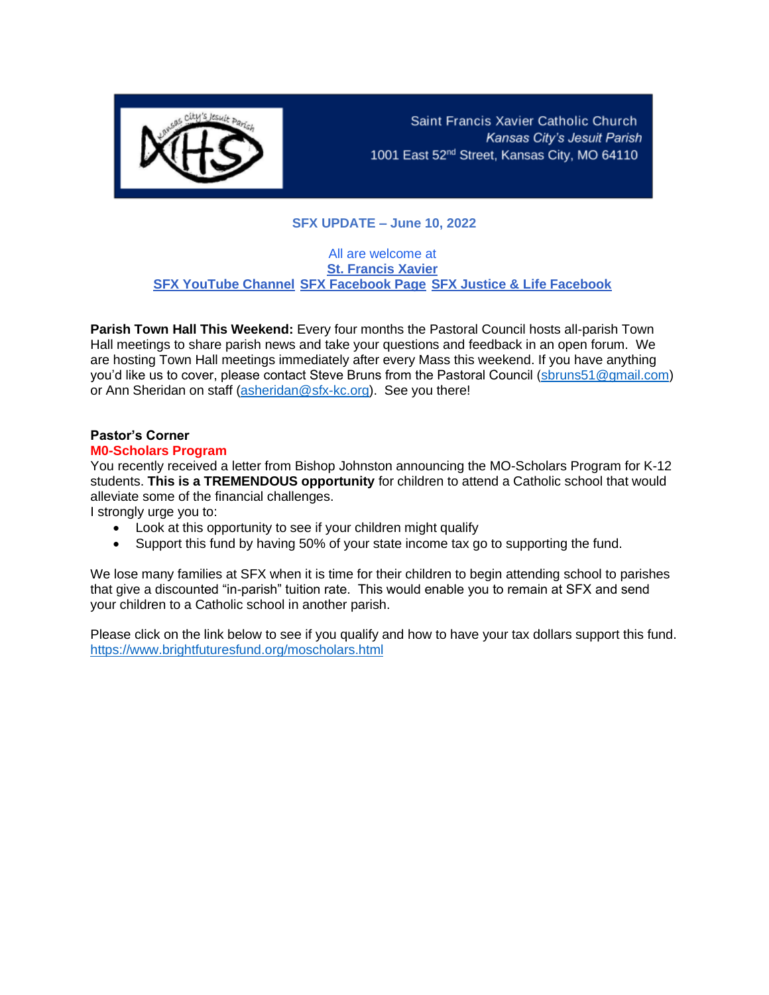

Saint Francis Xavier Catholic Church Kansas City's Jesuit Parish 1001 East 52<sup>nd</sup> Street, Kansas City, MO 64110

## **SFX UPDATE – June 10, 2022**

#### All are welcome at **[St. Francis Xavier](https://r20.rs6.net/tn.jsp?f=001vC53TyorLB77KUNXzdslYghygDvkv6TM9umxr_STtBCflXflajfp6JjpyajVVrBScu3lf31i6xoa9RnZjYv0cFduuh58GLeuFFRyQGnTfnL8ixoM038g5o8H6dTXF4TzThM--CkZDsk=&c=6r6Bs1RoSzQ8Abd-HpZdi6YVq8mT243jIJC6aUx28K66_1VNVGRfBQ==&ch=XeKC8gWayusRtRZOSYMzRAiQtxfRWz7QzrsmCbXzRxUIbQxoOfhvxQ==) [SFX YouTube Channel](https://r20.rs6.net/tn.jsp?f=001vC53TyorLB77KUNXzdslYghygDvkv6TM9umxr_STtBCflXflajfp6DnL44W2hEGKf26y_DBADePNV4aCGIxkyqG1LNYHpm0xn08yR9TUuJ0g87d3mmYmNYRqRWCShuZo6oZg1n3MXb21ZAg0Dig7vKfGUQ7CVBdtZUzQKK839WKHZ4uJON7hwSVtNGB8z9Cq&c=6r6Bs1RoSzQ8Abd-HpZdi6YVq8mT243jIJC6aUx28K66_1VNVGRfBQ==&ch=XeKC8gWayusRtRZOSYMzRAiQtxfRWz7QzrsmCbXzRxUIbQxoOfhvxQ==) [SFX Facebook Page](https://r20.rs6.net/tn.jsp?f=001vC53TyorLB77KUNXzdslYghygDvkv6TM9umxr_STtBCflXflajfp6PPkT4jGHOSM6_CcjjUY6iyXa4Lr99yOO8dI_sRkU_mP2m0m0xPud7xj0sGFnoxNeUHk5GbNPnaR7qRLIWctb2su0IXYCWp-OWCdEU0WOm7f&c=6r6Bs1RoSzQ8Abd-HpZdi6YVq8mT243jIJC6aUx28K66_1VNVGRfBQ==&ch=XeKC8gWayusRtRZOSYMzRAiQtxfRWz7QzrsmCbXzRxUIbQxoOfhvxQ==) [SFX Justice & Life Facebook](https://r20.rs6.net/tn.jsp?f=001vC53TyorLB77KUNXzdslYghygDvkv6TM9umxr_STtBCflXflajfp6PPkT4jGHOSMItLEaWiWs7QDJs4-z2lk7K1RwRj5tO6OkjueCqhDS96mxlo2ZXCJpTgicbmVqMVrAOzYCDyKRlEmol6M530bxzEJg28yu5onjDs15MyV6ss=&c=6r6Bs1RoSzQ8Abd-HpZdi6YVq8mT243jIJC6aUx28K66_1VNVGRfBQ==&ch=XeKC8gWayusRtRZOSYMzRAiQtxfRWz7QzrsmCbXzRxUIbQxoOfhvxQ==)**

**Parish Town Hall This Weekend:** Every four months the Pastoral Council hosts all-parish Town Hall meetings to share parish news and take your questions and feedback in an open forum. We are hosting Town Hall meetings immediately after every Mass this weekend. If you have anything you'd like us to cover, please contact Steve Bruns from the Pastoral Council [\(sbruns51@gmail.com\)](mailto:sbruns51@gmail.com) or Ann Sheridan on staff [\(asheridan@sfx-kc.org\)](mailto:asheridan@sfx-kc.org). See you there!

# **Pastor's Corner**

#### **M0-Scholars Program**

You recently received a letter from Bishop Johnston announcing the MO-Scholars Program for K-12 students. **This is a TREMENDOUS opportunity** for children to attend a Catholic school that would alleviate some of the financial challenges.

I strongly urge you to:

- Look at this opportunity to see if your children might qualify
- Support this fund by having 50% of your state income tax go to supporting the fund.

We lose many families at SFX when it is time for their children to begin attending school to parishes that give a discounted "in-parish" tuition rate. This would enable you to remain at SFX and send your children to a Catholic school in another parish.

Please click on the link below to see if you qualify and how to have your tax dollars support this fund. <https://www.brightfuturesfund.org/moscholars.html>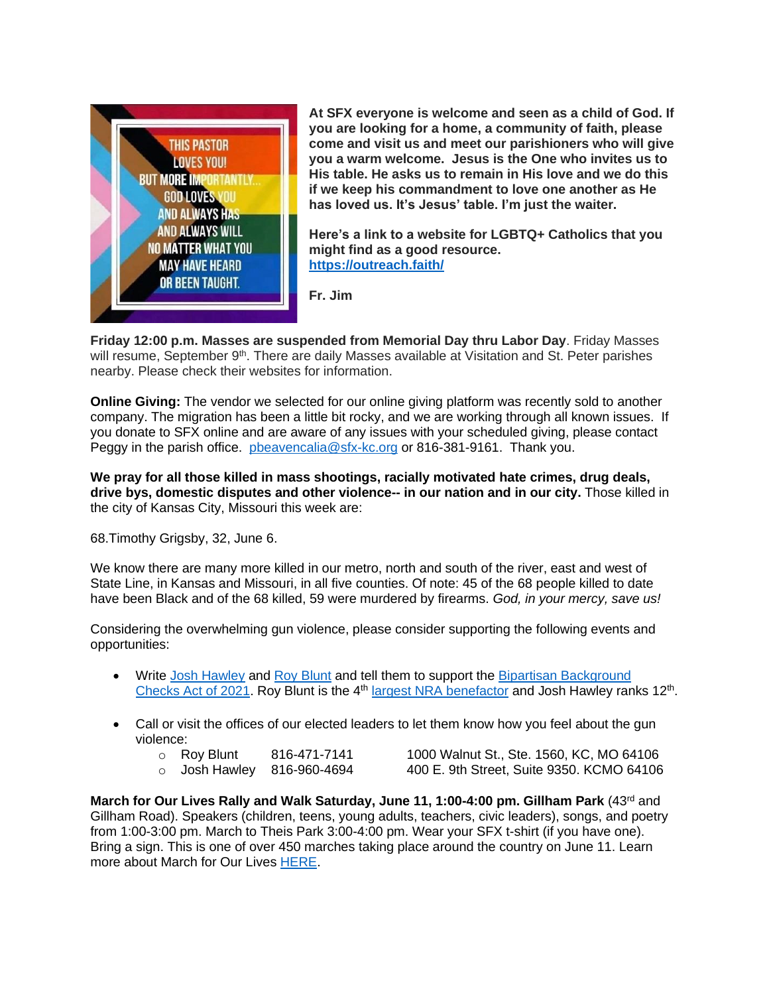

**At SFX everyone is welcome and seen as a child of God. If you are looking for a home, a community of faith, please come and visit us and meet our parishioners who will give you a warm welcome. Jesus is the One who invites us to His table. He asks us to remain in His love and we do this if we keep his commandment to love one another as He has loved us. It's Jesus' table. I'm just the waiter.** 

**Here's a link to a website for LGBTQ+ Catholics that you might find as a good resource. <https://outreach.faith/>**

**Fr. Jim**

**Friday 12:00 p.m. Masses are suspended from Memorial Day thru Labor Day**. Friday Masses will resume, September 9<sup>th</sup>. There are daily Masses available at Visitation and St. Peter parishes nearby. Please check their websites for information.

**Online Giving:** The vendor we selected for our online giving platform was recently sold to another company. The migration has been a little bit rocky, and we are working through all known issues. If you donate to SFX online and are aware of any issues with your scheduled giving, please contact Peggy in the parish office. [pbeavencalia@sfx-kc.org](mailto:pbeavencalia@sfx-kc.org) or 816-381-9161. Thank you.

**We pray for all those killed in mass shootings, racially motivated hate crimes, drug deals, drive bys, domestic disputes and other violence-- in our nation and in our city.** Those killed in the city of Kansas City, Missouri this week are:

68.Timothy Grigsby, 32, June 6.

We know there are many more killed in our metro, north and south of the river, east and west of State Line, in Kansas and Missouri, in all five counties. Of note: 45 of the 68 people killed to date have been Black and of the 68 killed, 59 were murdered by firearms. *God, in your mercy, save us!*

Considering the overwhelming gun violence, please consider supporting the following events and opportunities:

- Write [Josh Hawley](https://www.hawley.senate.gov/contact-senator-hawley) and [Roy Blunt](https://www.blunt.senate.gov/contact/contact-roy) and tell them to support the Bipartisan Background [Checks Act of 2021.](https://www.congress.gov/bill/117th-congress/house-bill/8) Roy Blunt is the 4<sup>th</sup> [largest NRA benefactor](https://news.stlpublicradio.org/government-politics-issues/2022-05-26/how-much-has-the-nra-spent-on-missouris-senators) and Josh Hawley ranks 12<sup>th</sup>.
- Call or visit the offices of our elected leaders to let them know how you feel about the gun violence:
	-
	- $\circ$  Roy Blunt 816-471-7141 1000 Walnut St., Ste. 1560, KC, MO 64106  $\circ$  Josh Hawley 816-960-4694 400 E. 9th Street, Suite 9350. KCMO 64106

March for Our Lives Rally and Walk Saturday, June 11, 1:00-4:00 pm. Gillham Park (43rd and Gillham Road). Speakers (children, teens, young adults, teachers, civic leaders), songs, and poetry from 1:00-3:00 pm. March to Theis Park 3:00-4:00 pm. Wear your SFX t-shirt (if you have one). Bring a sign. This is one of over 450 marches taking place around the country on June 11. Learn more about March for Our Lives [HERE.](https://marchforourlives.com/)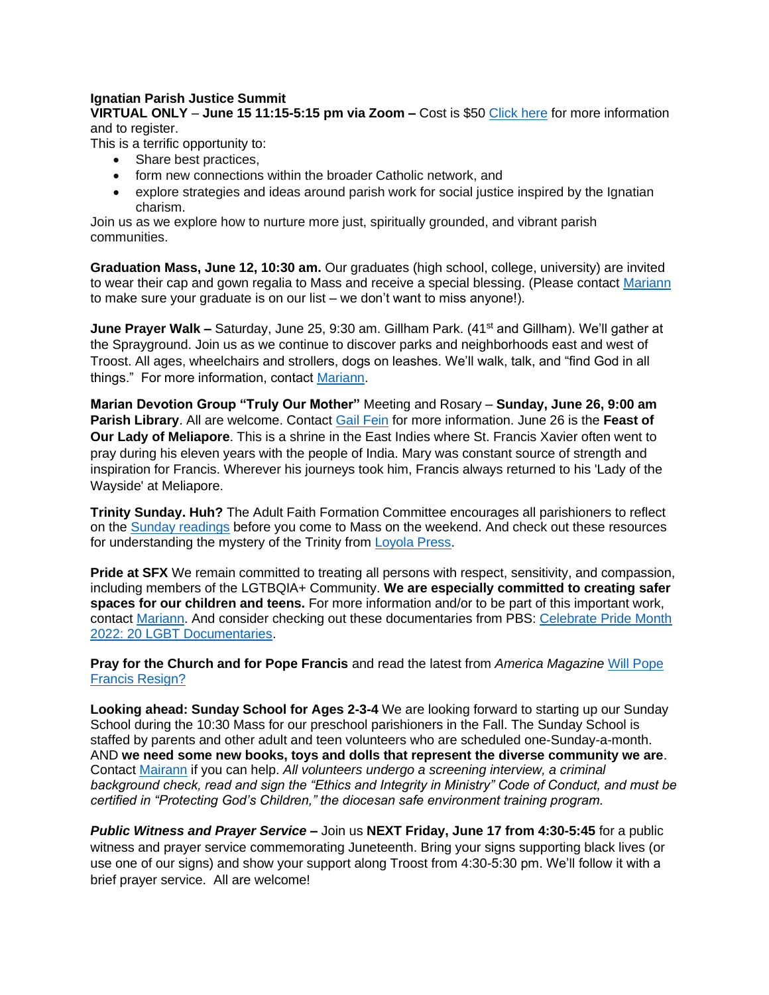#### **Ignatian Parish Justice Summit**

**VIRTUAL ONLY** – **June 15 11:15-5:15 pm via Zoom –** Cost is \$50 [Click here](mailto:https://ignatiansolidarity.net/ignatian-parish-justice-summit/?utm_source=Parishioners+and+Parish+Staff&utm_campaign=13193b2fe0-Soldiarity+on+Tap+-+Chicago_COPY_01&utm_medium=email&utm_term=0_292a80a64d-13193b2fe0-256206725&mc_cid=13193b2fe0&mc_eid=0ac78c8e67) for more information and to register.

This is a terrific opportunity to:

- Share best practices,
- form new connections within the broader Catholic network, and
- explore strategies and ideas around parish work for social justice inspired by the Ignatian charism.

Join us as we explore how to nurture more just, spiritually grounded, and vibrant parish communities.

**Graduation Mass, June 12, 10:30 am.** Our graduates (high school, college, university) are invited to wear their cap and gown regalia to Mass and receive a special blessing. (Please contact [Mariann](mailto:mccormally@sfx-kc.org) to make sure your graduate is on our list – we don't want to miss anyone!).

**June Prayer Walk –** Saturday, June 25, 9:30 am. Gillham Park. (41<sup>st</sup> and Gillham). We'll gather at the Sprayground. Join us as we continue to discover parks and neighborhoods east and west of Troost. All ages, wheelchairs and strollers, dogs on leashes. We'll walk, talk, and "find God in all things." For more information, contact [Mariann.](mailto:mccormally@sfx-kc.org)

**Marian Devotion Group "Truly Our Mother"** Meeting and Rosary – **Sunday, June 26, 9:00 am Parish Library**. All are welcome. Contact [Gail Fein](mailto:gafein10@gmail.com) for more information. June 26 is the **Feast of Our Lady of Meliapore**. This is a shrine in the East Indies where St. Francis Xavier often went to pray during his eleven years with the people of India. Mary was constant source of strength and inspiration for Francis. Wherever his journeys took him, Francis always returned to his 'Lady of the Wayside' at Meliapore.

**Trinity Sunday. Huh?** The Adult Faith Formation Committee encourages all parishioners to reflect on the [Sunday readings](https://bible.usccb.org/bible/readings/061222.cfm) before you come to Mass on the weekend. And check out these resources for understanding the mystery of the Trinity from [Loyola Press.](https://www.loyolapress.com/catholic-resources/liturgical-year/sunday-connection/)

**Pride at SFX** We remain committed to treating all persons with respect, sensitivity, and compassion, including members of the LGTBQIA+ Community. **We are especially committed to creating safer spaces for our children and teens.** For more information and/or to be part of this important work, contact [Mariann.](mailto:mccormally@sfx-kc.org) And consider checking out these documentaries from PBS: [Celebrate Pride Month](https://www.pbs.org/articles/what-to-watch-celebrate-lgbtqia-pride-month)  [2022: 20 LGBT Documentaries.](https://www.pbs.org/articles/what-to-watch-celebrate-lgbtqia-pride-month)

**Pray for the Church and for Pope Francis** and read the latest from *America Magazine* [Will Pope](https://www.americamagazine.org/faith/2022/06/08/pope-francis-resignation-243118?utm_source=piano&utm_medium=email&utm_campaign=2928&pnespid=uKB6EihCLrpFwPbcrT27HcOTo0qgUZRwPbS6met38QVm.S5vPLeL8yfHv8x3UQeYNXrq_5_X)  [Francis Resign?](https://www.americamagazine.org/faith/2022/06/08/pope-francis-resignation-243118?utm_source=piano&utm_medium=email&utm_campaign=2928&pnespid=uKB6EihCLrpFwPbcrT27HcOTo0qgUZRwPbS6met38QVm.S5vPLeL8yfHv8x3UQeYNXrq_5_X)

**Looking ahead: Sunday School for Ages 2-3-4** We are looking forward to starting up our Sunday School during the 10:30 Mass for our preschool parishioners in the Fall. The Sunday School is staffed by parents and other adult and teen volunteers who are scheduled one-Sunday-a-month. AND **we need some new books, toys and dolls that represent the diverse community we are**. Contact [Mairann](mailto:mccormally@sfx-kc.org) if you can help. *All volunteers undergo a screening interview, a criminal background check, read and sign the "Ethics and Integrity in Ministry" Code of Conduct, and must be certified in "Protecting God's Children," the diocesan safe environment training program.* 

*Public Witness and Prayer Service –* Join us **NEXT Friday, June 17 from 4:30-5:45** for a public witness and prayer service commemorating Juneteenth. Bring your signs supporting black lives (or use one of our signs) and show your support along Troost from 4:30-5:30 pm. We'll follow it with a brief prayer service. All are welcome!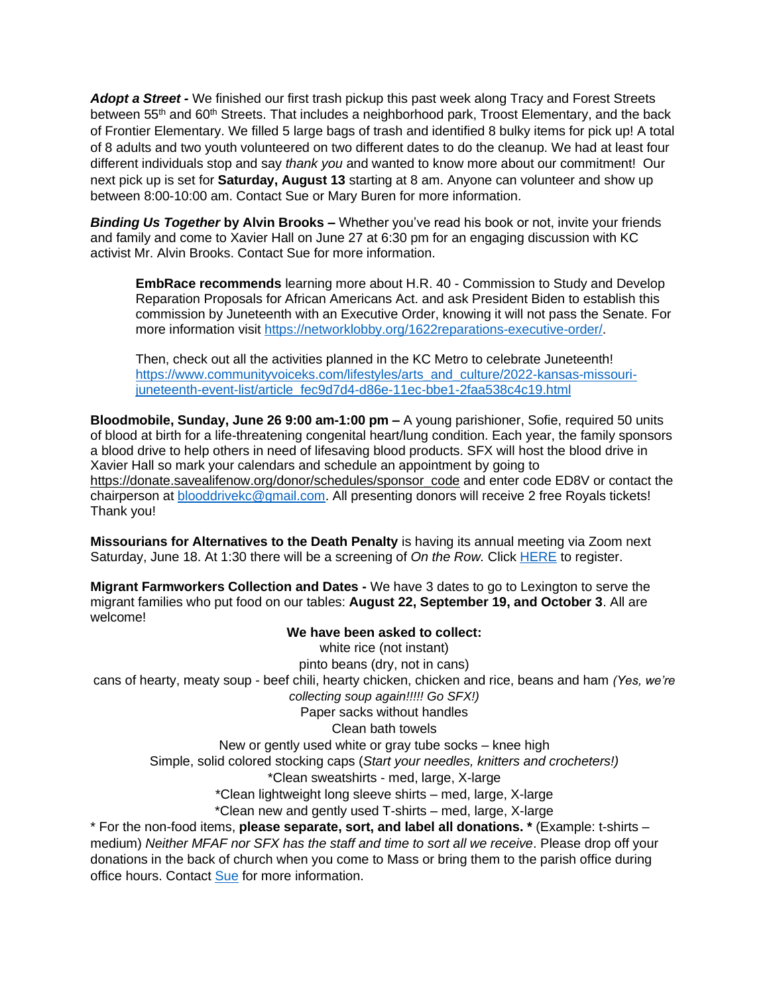*Adopt a Street -* We finished our first trash pickup this past week along Tracy and Forest Streets between 55<sup>th</sup> and 60<sup>th</sup> Streets. That includes a neighborhood park, Troost Elementary, and the back of Frontier Elementary. We filled 5 large bags of trash and identified 8 bulky items for pick up! A total of 8 adults and two youth volunteered on two different dates to do the cleanup. We had at least four different individuals stop and say *thank you* and wanted to know more about our commitment! Our next pick up is set for **Saturday, August 13** starting at 8 am. Anyone can volunteer and show up between 8:00-10:00 am. Contact Sue or Mary Buren for more information.

*Binding Us Together* **by Alvin Brooks –** Whether you've read his book or not, invite your friends and family and come to Xavier Hall on June 27 at 6:30 pm for an engaging discussion with KC activist Mr. Alvin Brooks. Contact Sue for more information.

**EmbRace recommends** learning more about H.R. 40 - Commission to Study and Develop Reparation Proposals for African Americans Act. and ask President Biden to establish this commission by Juneteenth with an Executive Order, knowing it will not pass the Senate. For more information visit https://networklobby.org/1622reparations-executive-order/

Then, check out all the activities planned in the KC Metro to celebrate Juneteenth! [https://www.communityvoiceks.com/lifestyles/arts\\_and\\_culture/2022-kansas-missouri](https://www.communityvoiceks.com/lifestyles/arts_and_culture/2022-kansas-missouri-juneteenth-event-list/article_fec9d7d4-d86e-11ec-bbe1-2faa538c4c19.html)[juneteenth-event-list/article\\_fec9d7d4-d86e-11ec-bbe1-2faa538c4c19.html](https://www.communityvoiceks.com/lifestyles/arts_and_culture/2022-kansas-missouri-juneteenth-event-list/article_fec9d7d4-d86e-11ec-bbe1-2faa538c4c19.html)

**Bloodmobile, Sunday, June 26 9:00 am-1:00 pm –** A young parishioner, Sofie, required 50 units of blood at birth for a life-threatening congenital heart/lung condition. Each year, the family sponsors a blood drive to help others in need of lifesaving blood products. SFX will host the blood drive in Xavier Hall so mark your calendars and schedule an appointment by going to [https://donate.savealifenow.org/donor/schedules/sponsor\\_code](https://donate.savealifenow.org/donor/schedules/sponsor_code) and enter code ED8V or contact the chairperson at **blooddrivekc@gmail.com.** All presenting donors will receive 2 free Royals tickets! Thank you!

**Missourians for Alternatives to the Death Penalty** is having its annual meeting via Zoom next Saturday, June 18. At 1:30 there will be a screening of *On the Row.* Click [HERE](https://www.madpmo.org/event-details-registration/madp-annual-program) to register.

**Migrant Farmworkers Collection and Dates -** We have 3 dates to go to Lexington to serve the migrant families who put food on our tables: **August 22, September 19, and October 3**. All are welcome!

**We have been asked to collect:** white rice (not instant) pinto beans (dry, not in cans) cans of hearty, meaty soup - beef chili, hearty chicken, chicken and rice, beans and ham *(Yes, we're collecting soup again!!!!! Go SFX!)* Paper sacks without handles Clean bath towels New or gently used white or gray tube socks – knee high Simple, solid colored stocking caps (*Start your needles, knitters and crocheters!)* \*Clean sweatshirts - med, large, X-large \*Clean lightweight long sleeve shirts – med, large, X-large \*Clean new and gently used T-shirts – med, large, X-large \* For the non-food items, **please separate, sort, and label all donations. \*** (Example: t-shirts –

medium) *Neither MFAF nor SFX has the staff and time to sort all we receive*. Please drop off your donations in the back of church when you come to Mass or bring them to the parish office during office hours. Contact [Sue](mailto:srobb@sfx-kc.org) for more information.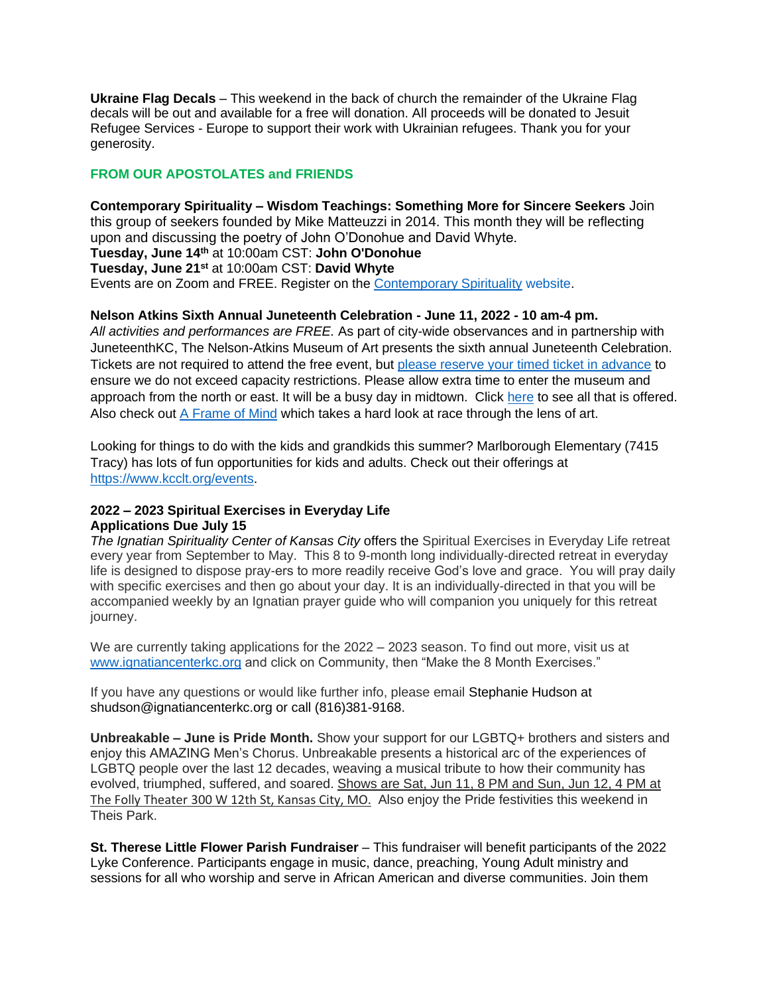**Ukraine Flag Decals** – This weekend in the back of church the remainder of the Ukraine Flag decals will be out and available for a free will donation. All proceeds will be donated to Jesuit Refugee Services - Europe to support their work with Ukrainian refugees. Thank you for your generosity.

## **FROM OUR APOSTOLATES and FRIENDS**

**Contemporary Spirituality – Wisdom Teachings: Something More for Sincere Seekers** Join this group of seekers founded by Mike Matteuzzi in 2014. This month they will be reflecting upon and discussing the poetry of John O'Donohue and David Whyte. **Tuesday, June 14th** at 10:00am CST: **John O'Donohue Tuesday, June 21st** at 10:00am CST: **David Whyte** Events are on Zoom and FREE. Register on the [Contemporary Spirituality](https://www.contemporaryspirituality.net/upcoming-events) website.

### **Nelson Atkins Sixth Annual Juneteenth Celebration - June 11, 2022 - 10 am-4 pm.**

*All activities and performances are FREE.* As part of city-wide observances and in partnership with JuneteenthKC, The Nelson-Atkins Museum of Art presents the sixth annual Juneteenth Celebration. Tickets are not required to attend the free event, but [please reserve your timed ticket in advance](https://nelson-atkins.org/plan-your-visit/?utm_source=homepage&utm_medium=button&utm_campaign=welcome_back&utm_content=tickets) to ensure we do not exceed capacity restrictions. Please allow extra time to enter the museum and approach from the north or east. It will be a busy day in midtown. Click [here](https://cart.nelson-atkins.org/32667/32726) to see all that is offered. Also check out [A Frame of Mind](https://cart.nelson-atkins.org/32326/32966) which takes a hard look at race through the lens of art.

Looking for things to do with the kids and grandkids this summer? Marlborough Elementary (7415 Tracy) has lots of fun opportunities for kids and adults. Check out their offerings at [https://www.kcclt.org/events.](https://www.kcclt.org/events)

## **2022 – 2023 Spiritual Exercises in Everyday Life Applications Due July 15**

*The Ignatian Spirituality Center of Kansas City* offers the Spiritual Exercises in Everyday Life retreat every year from September to May. This 8 to 9-month long individually-directed retreat in everyday life is designed to dispose pray-ers to more readily receive God's love and grace. You will pray daily with specific exercises and then go about your day. It is an individually-directed in that you will be accompanied weekly by an Ignatian prayer guide who will companion you uniquely for this retreat journey.

We are currently taking applications for the 2022 – 2023 season. To find out more, visit us at [www.ignatiancenterkc.org](http://www.ignatiancenterkc.org/) and click on Community, then "Make the 8 Month Exercises."

If you have any questions or would like further info, please email Stephanie Hudson at shudson@ignatiancenterkc.org or call (816)381-9168.

**Unbreakable – June is Pride Month.** Show your support for our LGBTQ+ brothers and sisters and enjoy this AMAZING Men's Chorus. Unbreakable presents a historical arc of the experiences of LGBTQ people over the last 12 decades, weaving a musical tribute to how their community has evolved, triumphed, suffered, and soared. Shows are Sat, Jun 11, 8 PM and Sun, Jun 12, 4 PM at [The Folly Theater](https://www.google.com/search?q=unbreakable+heartland+men%27s+chorus&rlz=1C1GCEU_enUS994US994&oq=unbreakable+heartland+mens+chorus&aqs=chrome..69i57j0i546l3.7904j0j7&sourceid=chrome&ie=UTF-8&ibp=htl;events&rciv=evn&sa=X&ved=2ahUKEwi40vOTwpH4AhUNlYkEHefhCWoQ5bwDegQIAxAB) [300 W 12th St, Kansas City, MO.](https://www.google.com/search?q=unbreakable+heartland+men%27s+chorus&rlz=1C1GCEU_enUS994US994&oq=unbreakable+heartland+mens+chorus&aqs=chrome..69i57j0i546l3.7904j0j7&sourceid=chrome&ie=UTF-8&ibp=htl;events&rciv=evn&sa=X&ved=2ahUKEwi40vOTwpH4AhUNlYkEHefhCWoQ5bwDegQIAxAB) Also enjoy the Pride festivities this weekend in Theis Park.

**St. Therese Little Flower Parish Fundraiser** – This fundraiser will benefit participants of the 2022 Lyke Conference. Participants engage in music, dance, preaching, Young Adult ministry and sessions for all who worship and serve in African American and diverse communities. Join them